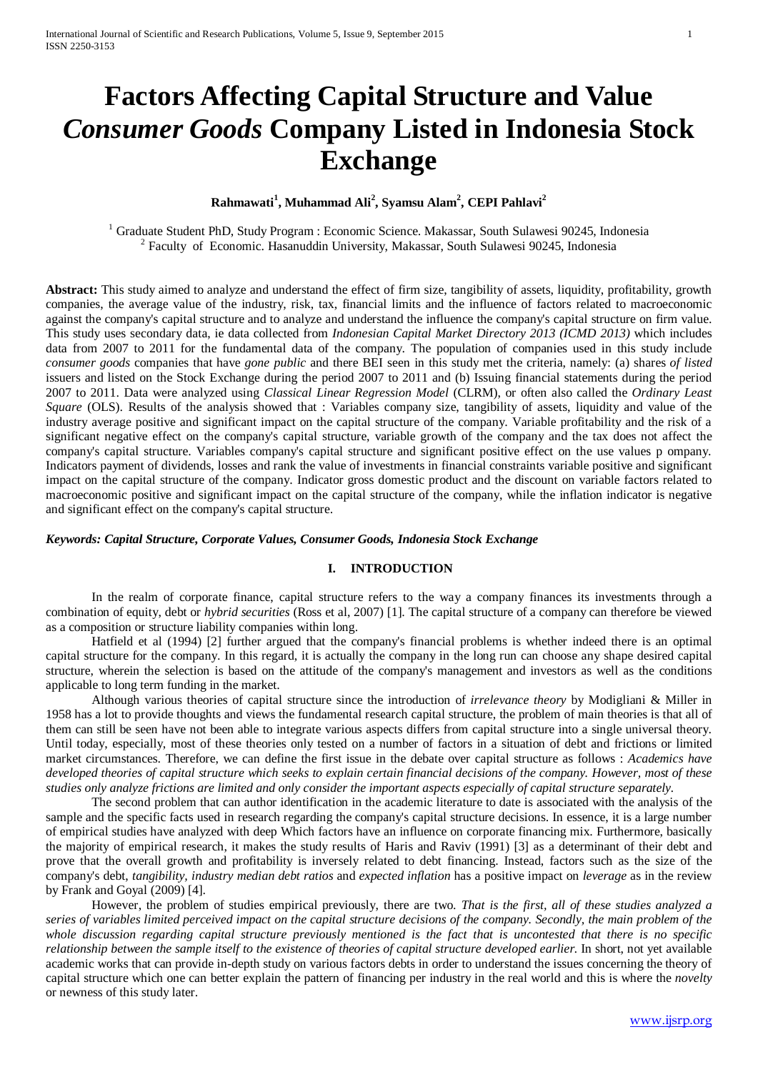# **Factors Affecting Capital Structure and Value** *Consumer Goods* **Company Listed in Indonesia Stock Exchange**

# **Rahmawati<sup>1</sup> , Muhammad Ali<sup>2</sup> , Syamsu Alam2 , CEPI Pahlavi<sup>2</sup>**

<sup>1</sup> Graduate Student PhD, Study Program : Economic Science. Makassar, South Sulawesi 90245, Indonesia <sup>2</sup> Faculty of Economic. Hasanuddin University, Makassar, South Sulawesi 90245, Indonesia

**Abstract:** This study aimed to analyze and understand the effect of firm size, tangibility of assets, liquidity, profitability, growth companies, the average value of the industry, risk, tax, financial limits and the influence of factors related to macroeconomic against the company's capital structure and to analyze and understand the influence the company's capital structure on firm value. This study uses secondary data, ie data collected from *Indonesian Capital Market Directory 2013 (ICMD 2013)* which includes data from 2007 to 2011 for the fundamental data of the company. The population of companies used in this study include *consumer goods* companies that have *gone public* and there BEI seen in this study met the criteria, namely: (a) shares *of listed* issuers and listed on the Stock Exchange during the period 2007 to 2011 and (b) Issuing financial statements during the period 2007 to 2011. Data were analyzed using *Classical Linear Regression Model* (CLRM), or often also called the *Ordinary Least Square* (OLS). Results of the analysis showed that : Variables company size, tangibility of assets, liquidity and value of the industry average positive and significant impact on the capital structure of the company. Variable profitability and the risk of a significant negative effect on the company's capital structure, variable growth of the company and the tax does not affect the company's capital structure. Variables company's capital structure and significant positive effect on the use values p ompany. Indicators payment of dividends, losses and rank the value of investments in financial constraints variable positive and significant impact on the capital structure of the company. Indicator gross domestic product and the discount on variable factors related to macroeconomic positive and significant impact on the capital structure of the company, while the inflation indicator is negative and significant effect on the company's capital structure.

# *Keywords: Capital Structure, Corporate Values, Consumer Goods, Indonesia Stock Exchange*

# **I. INTRODUCTION**

In the realm of corporate finance, capital structure refers to the way a company finances its investments through a combination of equity, debt or *hybrid securities* (Ross et al, 2007) [1]. The capital structure of a company can therefore be viewed as a composition or structure liability companies within long.

Hatfield et al (1994) [2] further argued that the company's financial problems is whether indeed there is an optimal capital structure for the company. In this regard, it is actually the company in the long run can choose any shape desired capital structure, wherein the selection is based on the attitude of the company's management and investors as well as the conditions applicable to long term funding in the market.

Although various theories of capital structure since the introduction of *irrelevance theory* by Modigliani & Miller in 1958 has a lot to provide thoughts and views the fundamental research capital structure, the problem of main theories is that all of them can still be seen have not been able to integrate various aspects differs from capital structure into a single universal theory. Until today, especially, most of these theories only tested on a number of factors in a situation of debt and frictions or limited market circumstances. Therefore, we can define the first issue in the debate over capital structure as follows : *Academics have developed theories of capital structure which seeks to explain certain financial decisions of the company. However, most of these studies only analyze frictions are limited and only consider the important aspects especially of capital structure separately.*

The second problem that can author identification in the academic literature to date is associated with the analysis of the sample and the specific facts used in research regarding the company's capital structure decisions. In essence, it is a large number of empirical studies have analyzed with deep Which factors have an influence on corporate financing mix. Furthermore, basically the majority of empirical research, it makes the study results of Haris and Raviv (1991) [3] as a determinant of their debt and prove that the overall growth and profitability is inversely related to debt financing. Instead, factors such as the size of the company's debt, *tangibility, industry median debt ratios* and *expected inflation* has a positive impact on *leverage* as in the review by Frank and Goyal (2009) [4].

However, the problem of studies empirical previously, there are two. *That is the first, all of these studies analyzed a series of variables limited perceived impact on the capital structure decisions of the company. Secondly, the main problem of the whole discussion regarding capital structure previously mentioned is the fact that is uncontested that there is no specific relationship between the sample itself to the existence of theories of capital structure developed earlier.* In short, not yet available academic works that can provide in-depth study on various factors debts in order to understand the issues concerning the theory of capital structure which one can better explain the pattern of financing per industry in the real world and this is where the *novelty* or newness of this study later.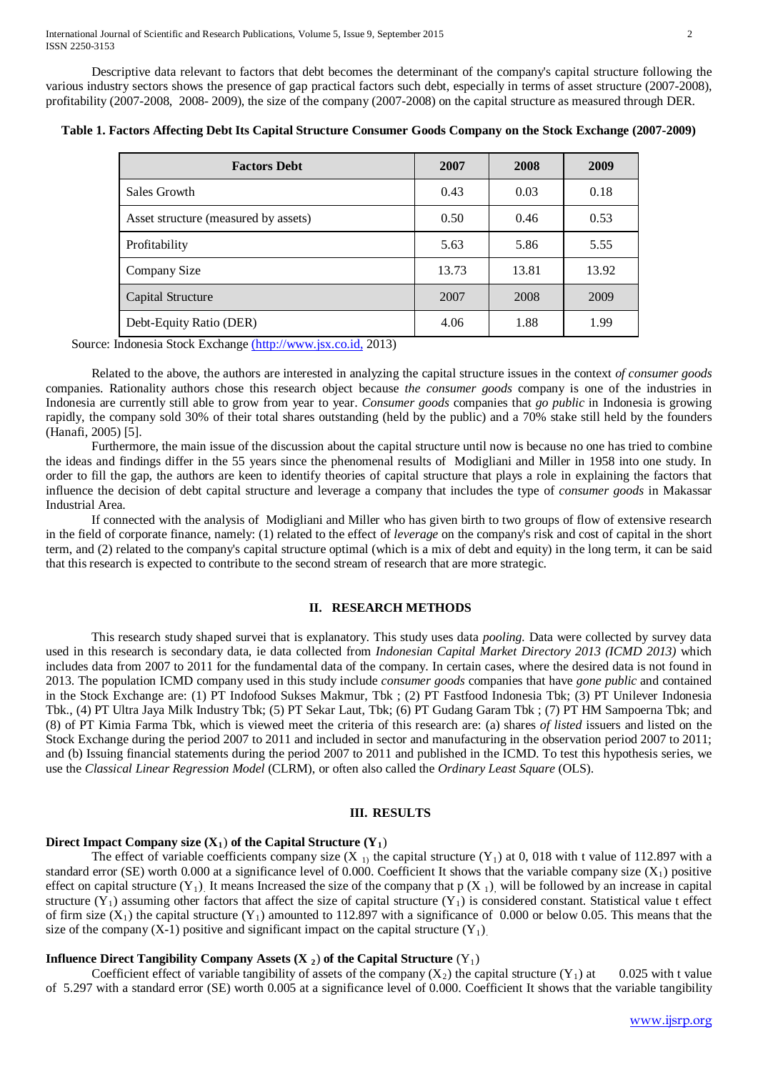Descriptive data relevant to factors that debt becomes the determinant of the company's capital structure following the various industry sectors shows the presence of gap practical factors such debt, especially in terms of asset structure (2007-2008), profitability (2007-2008, 2008- 2009), the size of the company (2007-2008) on the capital structure as measured through DER.

| <b>Factors Debt</b>                  | 2007  | 2008  | 2009  |
|--------------------------------------|-------|-------|-------|
| Sales Growth                         | 0.43  | 0.03  | 0.18  |
| Asset structure (measured by assets) | 0.50  | 0.46  | 0.53  |
| Profitability                        | 5.63  | 5.86  | 5.55  |
| Company Size                         | 13.73 | 13.81 | 13.92 |
| Capital Structure                    | 2007  | 2008  | 2009  |
| Debt-Equity Ratio (DER)              | 4.06  | 1.88  | 1.99  |

**Table 1. Factors Affecting Debt Its Capital Structure Consumer Goods Company on the Stock Exchange (2007-2009)**

Source: Indonesia Stock Exchang[e \(http://www.jsx.co.id,](https://translate.google.com/translate?hl=id&prev=_t&sl=id&tl=en&u=http://www.jsx.co.id) 2013)

Related to the above, the authors are interested in analyzing the capital structure issues in the context *of consumer goods* companies. Rationality authors chose this research object because *the consumer goods* company is one of the industries in Indonesia are currently still able to grow from year to year. *Consumer goods* companies that *go public* in Indonesia is growing rapidly, the company sold 30% of their total shares outstanding (held by the public) and a 70% stake still held by the founders (Hanafi, 2005) [5].

Furthermore, the main issue of the discussion about the capital structure until now is because no one has tried to combine the ideas and findings differ in the 55 years since the phenomenal results of Modigliani and Miller in 1958 into one study. In order to fill the gap, the authors are keen to identify theories of capital structure that plays a role in explaining the factors that influence the decision of debt capital structure and leverage a company that includes the type of *consumer goods* in Makassar Industrial Area.

If connected with the analysis of Modigliani and Miller who has given birth to two groups of flow of extensive research in the field of corporate finance, namely: (1) related to the effect of *leverage* on the company's risk and cost of capital in the short term, and (2) related to the company's capital structure optimal (which is a mix of debt and equity) in the long term, it can be said that this research is expected to contribute to the second stream of research that are more strategic.

#### **II. RESEARCH METHODS**

This research study shaped survei that is explanatory. This study uses data *pooling.* Data were collected by survey data used in this research is secondary data, ie data collected from *Indonesian Capital Market Directory 2013 (ICMD 2013)* which includes data from 2007 to 2011 for the fundamental data of the company. In certain cases, where the desired data is not found in 2013. The population ICMD company used in this study include *consumer goods* companies that have *gone public* and contained in the Stock Exchange are: (1) PT Indofood Sukses Makmur, Tbk ; (2) PT Fastfood Indonesia Tbk; (3) PT Unilever Indonesia Tbk., (4) PT Ultra Jaya Milk Industry Tbk; (5) PT Sekar Laut, Tbk; (6) PT Gudang Garam Tbk ; (7) PT HM Sampoerna Tbk; and (8) of PT Kimia Farma Tbk, which is viewed meet the criteria of this research are: (a) shares *of listed* issuers and listed on the Stock Exchange during the period 2007 to 2011 and included in sector and manufacturing in the observation period 2007 to 2011; and (b) Issuing financial statements during the period 2007 to 2011 and published in the ICMD. To test this hypothesis series, we use the *Classical Linear Regression Model* (CLRM), or often also called the *Ordinary Least Square* (OLS).

## **III. RESULTS**

## **Direct Impact Company size**  $(X_1)$  **of the Capital Structure**  $(Y_1)$

The effect of variable coefficients company size  $(X_1)$  the capital structure  $(Y_1)$  at 0, 018 with t value of 112.897 with a standard error (SE) worth 0.000 at a significance level of 0.000. Coefficient It shows that the variable company size  $(X_1)$  positive effect on capital structure  $(Y_1)$ . It means Increased the size of the company that p  $(X_1)$ , will be followed by an increase in capital structure  $(Y_1)$  assuming other factors that affect the size of capital structure  $(Y_1)$  is considered constant. Statistical value t effect of firm size  $(X_1)$  the capital structure  $(Y_1)$  amounted to 112.897 with a significance of 0.000 or below 0.05. This means that the size of the company  $(X-1)$  positive and significant impact on the capital structure  $(Y_1)$ .

## **Influence Direct Tangibility Company Assets**  $(X_2)$  **of the Capital Structure**  $(Y_1)$

Coefficient effect of variable tangibility of assets of the company  $(X_2)$  the capital structure  $(Y_1)$  at 0.025 with t value of 5.297 with a standard error (SE) worth 0.005 at a significance level of 0.000. Coefficient It shows that the variable tangibility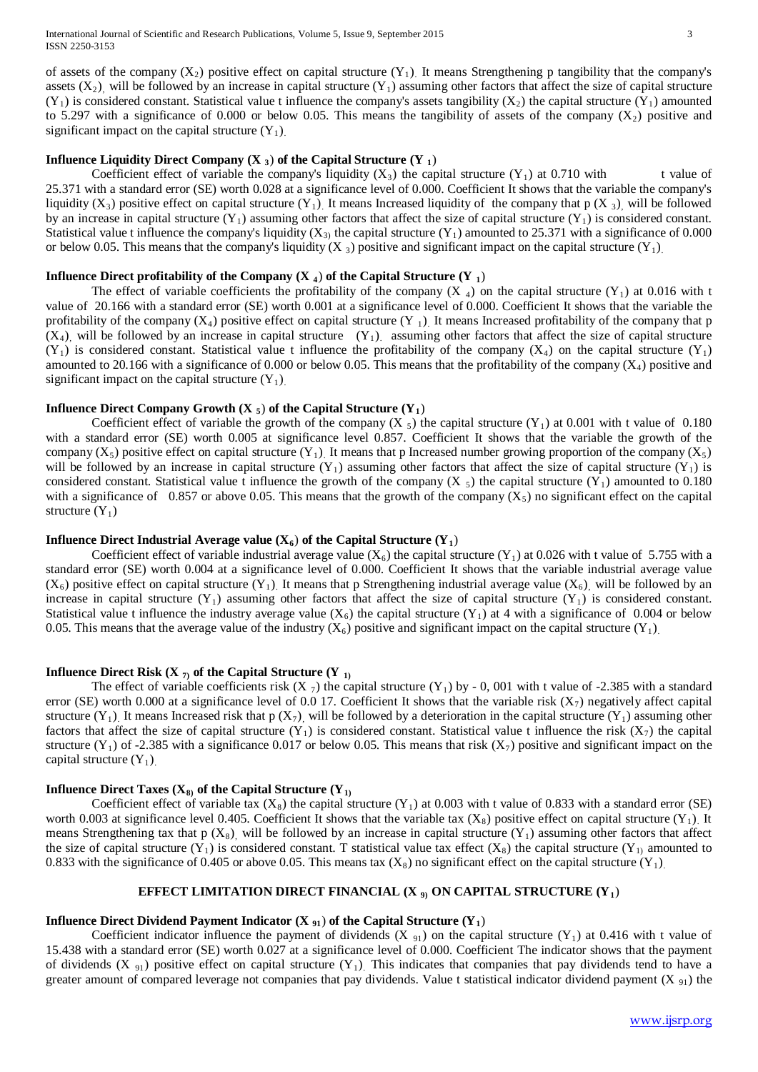of assets of the company  $(X_2)$  positive effect on capital structure  $(Y_1)$ . It means Strengthening p tangibility that the company's assets  $(X_2)$ , will be followed by an increase in capital structure  $(Y_1)$  assuming other factors that affect the size of capital structure  $(Y_1)$  is considered constant. Statistical value t influence the company's assets tangibility  $(X_2)$  the capital structure  $(Y_1)$  amounted to 5.297 with a significance of 0.000 or below 0.05. This means the tangibility of assets of the company  $(X_2)$  positive and significant impact on the capital structure  $(Y_1)$ .

## **Influence Liquidity Direct Company (X 3**) **of the Capital Structure (Y 1**)

Coefficient effect of variable the company's liquidity  $(X_3)$  the capital structure  $(Y_1)$  at 0.710 with t value of 25.371 with a standard error (SE) worth 0.028 at a significance level of 0.000. Coefficient It shows that the variable the company's liquidity  $(X_3)$  positive effect on capital structure  $(Y_1)$ . It means Increased liquidity of the company that p  $(X_3)$ , will be followed by an increase in capital structure  $(Y_1)$  assuming other factors that affect the size of capital structure  $(Y_1)$  is considered constant. Statistical value t influence the company's liquidity  $(X_3)$  the capital structure  $(Y_1)$  amounted to 25.371 with a significance of 0.000 or below 0.05. This means that the company's liquidity  $(X_3)$  positive and significant impact on the capital structure  $(Y_1)$ .

#### **Influence Direct profitability of the Company (X 4) of the Capital Structure (Y 1)**

The effect of variable coefficients the profitability of the company  $(X_4)$  on the capital structure  $(Y_1)$  at 0.016 with t value of 20.166 with a standard error (SE) worth 0.001 at a significance level of 0.000. Coefficient It shows that the variable the profitability of the company  $(X_4)$  positive effect on capital structure  $(Y_1)$ . It means Increased profitability of the company that p  $(X_4)$ , will be followed by an increase in capital structure  $(Y_1)$  assuming other factors that affect the size of capital structure  $(Y_1)$  is considered constant. Statistical value t influence the profitability of the company  $(X_4)$  on the capital structure  $(Y_1)$ amounted to 20.166 with a significance of 0.000 or below 0.05. This means that the profitability of the company  $(X_4)$  positive and significant impact on the capital structure  $(Y_1)$ .

# **Influence Direct Company Growth (X**  $_5$ **) of the Capital Structure (Y<sub>1</sub>)**

Coefficient effect of variable the growth of the company  $(X_5)$  the capital structure  $(Y_1)$  at 0.001 with t value of 0.180 with a standard error (SE) worth 0.005 at significance level 0.857. Coefficient It shows that the variable the growth of the company  $(X_5)$  positive effect on capital structure  $(Y_1)$ . It means that p Increased number growing proportion of the company  $(X_5)$ will be followed by an increase in capital structure  $(Y_1)$  assuming other factors that affect the size of capital structure  $(Y_1)$  is considered constant. Statistical value t influence the growth of the company  $(X_5)$  the capital structure  $(Y_1)$  amounted to 0.180 with a significance of 0.857 or above 0.05. This means that the growth of the company  $(X_5)$  no significant effect on the capital structure  $(Y_1)$ 

#### **Influence Direct Industrial Average value (** $X_6$ **) of the Capital Structure (** $Y_1$ **)**

Coefficient effect of variable industrial average value  $(X_6)$  the capital structure  $(Y_1)$  at 0.026 with t value of 5.755 with a standard error (SE) worth 0.004 at a significance level of 0.000. Coefficient It shows that the variable industrial average value  $(X_6)$  positive effect on capital structure  $(Y_1)$ . It means that p Strengthening industrial average value  $(X_6)$ , will be followed by an increase in capital structure  $(Y_1)$  assuming other factors that affect the size of capital structure  $(Y_1)$  is considered constant. Statistical value t influence the industry average value  $(X_6)$  the capital structure  $(Y_1)$  at 4 with a significance of 0.004 or below 0.05. This means that the average value of the industry  $(X_6)$  positive and significant impact on the capital structure  $(Y_1)$ .

## **Influence Direct Risk (X**  $_7$ **) of the Capital Structure (Y**  $_{1}$ **)**

The effect of variable coefficients risk  $(X_7)$  the capital structure  $(Y_1)$  by - 0, 001 with t value of -2.385 with a standard error (SE) worth 0.000 at a significance level of 0.0 17. Coefficient It shows that the variable risk  $(X_7)$  negatively affect capital structure  $(Y_1)$ . It means Increased risk that p  $(X_7)$ , will be followed by a deterioration in the capital structure  $(Y_1)$  assuming other factors that affect the size of capital structure  $(Y_1)$  is considered constant. Statistical value t influence the risk  $(X_7)$  the capital structure  $(Y_1)$  of -2.385 with a significance 0.017 or below 0.05. This means that risk  $(X_7)$  positive and significant impact on the capital structure  $(Y_1)$ .

#### **Influence Direct Taxes (** $X_8$ **) of the Capital Structure (** $Y_1$ **)**

Coefficient effect of variable tax  $(X_8)$  the capital structure  $(Y_1)$  at 0.003 with t value of 0.833 with a standard error (SE) worth 0.003 at significance level 0.405. Coefficient It shows that the variable tax  $(X_8)$  positive effect on capital structure  $(Y_1)$ . It means Strengthening tax that p  $(X_8)$ , will be followed by an increase in capital structure  $(Y_1)$  assuming other factors that affect the size of capital structure  $(Y_1)$  is considered constant. T statistical value tax effect  $(X_8)$  the capital structure  $(Y_1)$  amounted to 0.833 with the significance of 0.405 or above 0.05. This means tax  $(X_8)$  no significant effect on the capital structure  $(Y_1)$ .

## **EFFECT LIMITATION DIRECT FINANCIAL (X 9) ON CAPITAL STRUCTURE (Y1**)

#### **Influence Direct Dividend Payment Indicator (X**  $_{91}$ **) of the Capital Structure (Y<sub>1</sub>)**

Coefficient indicator influence the payment of dividends  $(X_{91})$  on the capital structure  $(Y_1)$  at 0.416 with t value of 15.438 with a standard error (SE) worth 0.027 at a significance level of 0.000. Coefficient The indicator shows that the payment of dividends (X  $_{91}$ ) positive effect on capital structure (Y<sub>1</sub>). This indicates that companies that pay dividends tend to have a greater amount of compared leverage not companies that pay dividends. Value t statistical indicator dividend payment  $(X_{91})$  the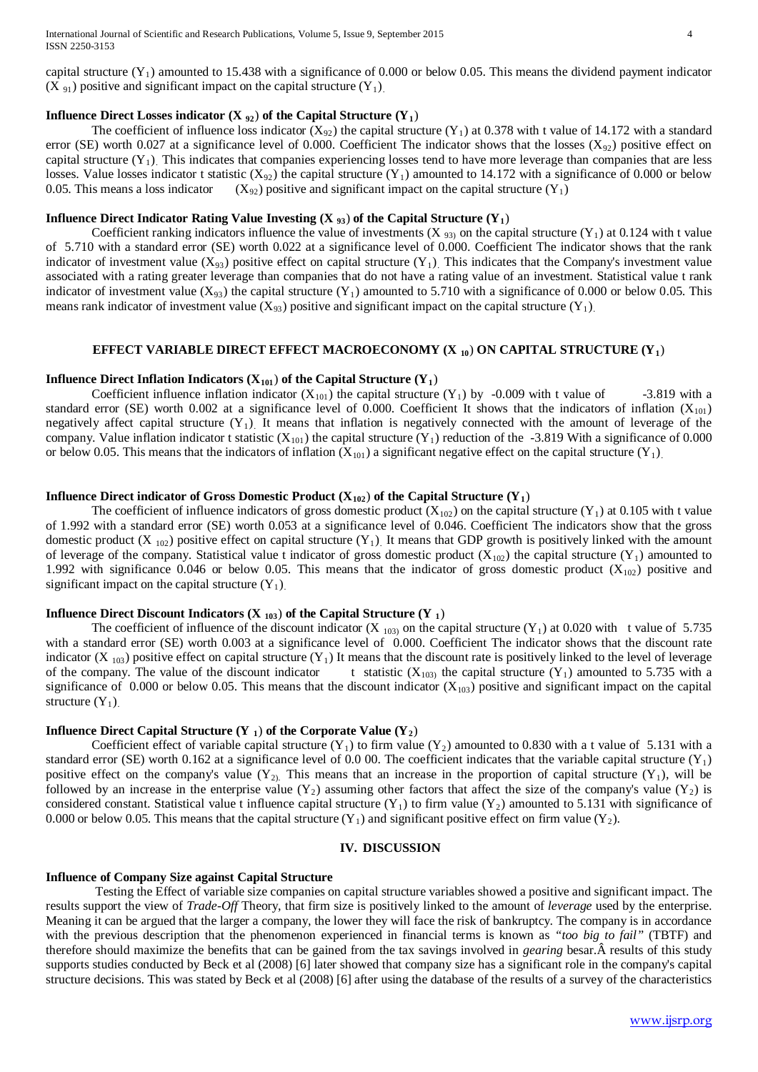capital structure  $(Y_1)$  amounted to 15.438 with a significance of 0.000 or below 0.05. This means the dividend payment indicator  $(X_{91})$  positive and significant impact on the capital structure  $(Y_1)$ .

# **Influence Direct Losses indicator (X**  $_{92}$ **) of the Capital Structure (Y<sub>1</sub>)**

The coefficient of influence loss indicator  $(X_{92})$  the capital structure  $(Y_1)$  at 0.378 with t value of 14.172 with a standard error (SE) worth 0.027 at a significance level of 0.000. Coefficient The indicator shows that the losses ( $X_{92}$ ) positive effect on capital structure  $(Y_1)$ . This indicates that companies experiencing losses tend to have more leverage than companies that are less losses. Value losses indicator t statistic  $(X_{92})$  the capital structure  $(Y_1)$  amounted to 14.172 with a significance of 0.000 or below 0.05. This means a loss indicator  $(X_{92})$  positive and significant impact on the capital structure  $(Y_1)$ 

## **Influence Direct Indicator Rating Value Investing (X**  $_{93}$ **) of the Capital Structure (Y<sub>1</sub>)**

Coefficient ranking indicators influence the value of investments (X  $_{93}$ ) on the capital structure (Y<sub>1</sub>) at 0.124 with t value of 5.710 with a standard error (SE) worth 0.022 at a significance level of 0.000. Coefficient The indicator shows that the rank indicator of investment value  $(X_{93})$  positive effect on capital structure  $(Y_1)$ . This indicates that the Company's investment value associated with a rating greater leverage than companies that do not have a rating value of an investment. Statistical value t rank indicator of investment value ( $X_{93}$ ) the capital structure (Y<sub>1</sub>) amounted to 5.710 with a significance of 0.000 or below 0.05. This means rank indicator of investment value ( $X_{93}$ ) positive and significant impact on the capital structure (Y<sub>1</sub>).

#### **EFFECT VARIABLE DIRECT EFFECT MACROECONOMY (X 10**) **ON CAPITAL STRUCTURE (Y1**)

#### **Influence Direct Inflation Indicators (** $X_{101}$ **) of the Capital Structure (** $Y_1$ **)**

Coefficient influence inflation indicator  $(X_{101})$  the capital structure  $(Y_1)$  by -0.009 with t value of -3.819 with a standard error (SE) worth 0.002 at a significance level of 0.000. Coefficient It shows that the indicators of inflation ( $X_{101}$ ) negatively affect capital structure  $(Y_1)$ . It means that inflation is negatively connected with the amount of leverage of the company. Value inflation indicator t statistic  $(X_{101})$  the capital structure  $(Y_1)$  reduction of the -3.819 With a significance of 0.000 or below 0.05. This means that the indicators of inflation  $(X_{101})$  a significant negative effect on the capital structure  $(Y_1)$ .

#### **Influence Direct indicator of Gross Domestic Product (** $X_{102}$ **) of the Capital Structure (** $Y_1$ **)**

The coefficient of influence indicators of gross domestic product  $(X_{102})$  on the capital structure  $(Y_1)$  at 0.105 with t value of 1.992 with a standard error (SE) worth 0.053 at a significance level of 0.046. Coefficient The indicators show that the gross domestic product (X  $_{102}$ ) positive effect on capital structure (Y<sub>1</sub>). It means that GDP growth is positively linked with the amount of leverage of the company. Statistical value t indicator of gross domestic product  $(X_{102})$  the capital structure  $(Y_1)$  amounted to 1.992 with significance 0.046 or below 0.05. This means that the indicator of gross domestic product  $(X_{102})$  positive and significant impact on the capital structure  $(Y_1)$ .

#### **Influence Direct Discount Indicators (X**  $_{103}$ **) of the Capital Structure (Y <sub>1</sub>)**

The coefficient of influence of the discount indicator (X  $_{103}$ ) on the capital structure (Y<sub>1</sub>) at 0.020 with t value of 5.735 with a standard error (SE) worth 0.003 at a significance level of 0.000. Coefficient The indicator shows that the discount rate indicator  $(X_{103})$  positive effect on capital structure  $(Y_1)$  It means that the discount rate is positively linked to the level of leverage of the company. The value of the discount indicator t statistic  $(X_{103)}$  the capital structure  $(Y_1)$  amounted to 5.735 with a significance of 0.000 or below 0.05. This means that the discount indicator  $(X_{103})$  positive and significant impact on the capital structure  $(Y_1)$ .

#### **Influence Direct Capital Structure (Y<sub>1</sub>) of the Corporate Value (Y<sub>2</sub>)**

Coefficient effect of variable capital structure  $(Y_1)$  to firm value  $(Y_2)$  amounted to 0.830 with a t value of 5.131 with a standard error (SE) worth 0.162 at a significance level of 0.0 00. The coefficient indicates that the variable capital structure  $(Y_1)$ positive effect on the company's value  $(Y_2)$ . This means that an increase in the proportion of capital structure  $(Y_1)$ , will be followed by an increase in the enterprise value  $(Y_2)$  assuming other factors that affect the size of the company's value  $(Y_2)$  is considered constant. Statistical value t influence capital structure  $(Y_1)$  to firm value  $(Y_2)$  amounted to 5.131 with significance of 0.000 or below 0.05. This means that the capital structure  $(Y_1)$  and significant positive effect on firm value  $(Y_2)$ .

# **IV. DISCUSSION**

#### **Influence of Company Size against Capital Structure**

Testing the Effect of variable size companies on capital structure variables showed a positive and significant impact. The results support the view of *Trade-Off* Theory, that firm size is positively linked to the amount of *leverage* used by the enterprise. Meaning it can be argued that the larger a company, the lower they will face the risk of bankruptcy. The company is in accordance with the previous description that the phenomenon experienced in financial terms is known as *"too big to fail"* (TBTF) and therefore should maximize the benefits that can be gained from the tax savings involved in *gearing* besar. A results of this study supports studies conducted by Beck et al (2008) [6] later showed that company size has a significant role in the company's capital structure decisions. This was stated by Beck et al (2008) [6] after using the database of the results of a survey of the characteristics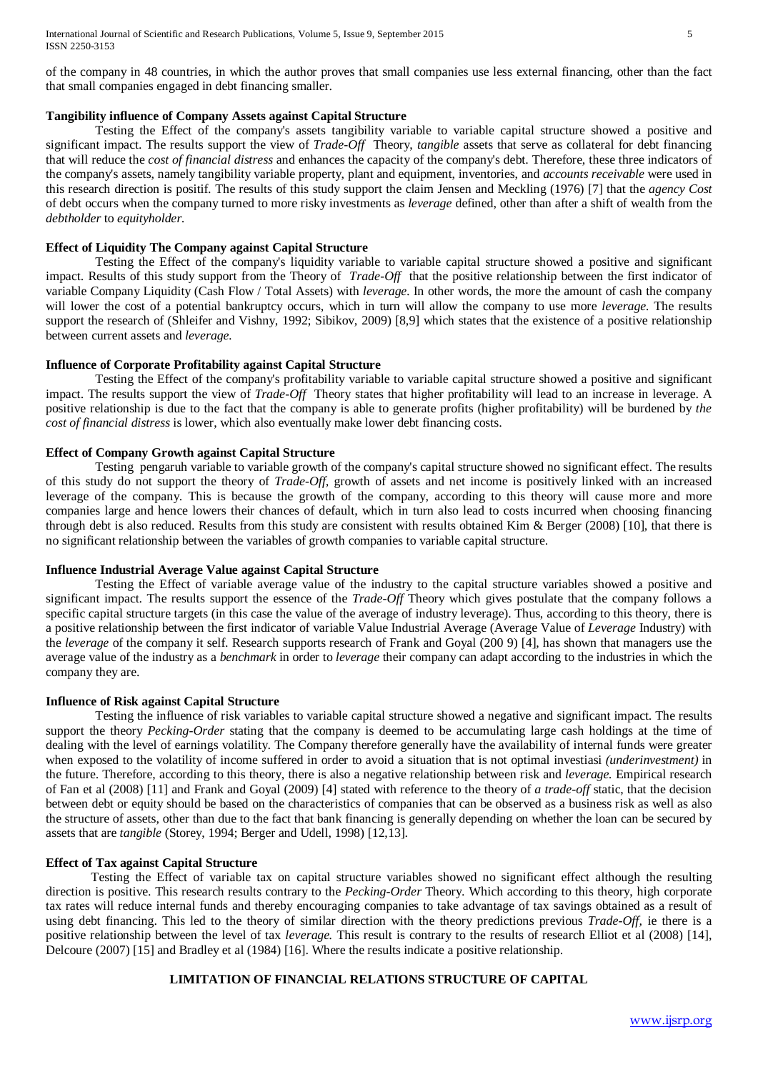of the company in 48 countries, in which the author proves that small companies use less external financing, other than the fact that small companies engaged in debt financing smaller.

## **Tangibility influence of Company Assets against Capital Structure**

Testing the Effect of the company's assets tangibility variable to variable capital structure showed a positive and significant impact. The results support the view of *Trade-Off* Theory, *tangible* assets that serve as collateral for debt financing that will reduce the *cost of financial distress* and enhances the capacity of the company's debt. Therefore, these three indicators of the company's assets, namely tangibility variable property, plant and equipment, inventories, and *accounts receivable* were used in this research direction is positif. The results of this study support the claim Jensen and Meckling (1976) [7] that the *agency Cost* of debt occurs when the company turned to more risky investments as *leverage* defined, other than after a shift of wealth from the *debtholder* to *equityholder.*

## **Effect of Liquidity The Company against Capital Structure**

Testing the Effect of the company's liquidity variable to variable capital structure showed a positive and significant impact. Results of this study support from the Theory of *Trade-Off* that the positive relationship between the first indicator of variable Company Liquidity (Cash Flow / Total Assets) with *leverage.* In other words, the more the amount of cash the company will lower the cost of a potential bankruptcy occurs, which in turn will allow the company to use more *leverage.* The results support the research of (Shleifer and Vishny, 1992; Sibikov, 2009) [8,9] which states that the existence of a positive relationship between current assets and *leverage.*

## **Influence of Corporate Profitability against Capital Structure**

Testing the Effect of the company's profitability variable to variable capital structure showed a positive and significant impact. The results support the view of *Trade-Off* Theory states that higher profitability will lead to an increase in leverage. A positive relationship is due to the fact that the company is able to generate profits (higher profitability) will be burdened by *the cost of financial distress* is lower, which also eventually make lower debt financing costs.

## **Effect of Company Growth against Capital Structure**

Testing pengaruh variable to variable growth of the company's capital structure showed no significant effect. The results of this study do not support the theory of *Trade-Off,* growth of assets and net income is positively linked with an increased leverage of the company. This is because the growth of the company, according to this theory will cause more and more companies large and hence lowers their chances of default, which in turn also lead to costs incurred when choosing financing through debt is also reduced. Results from this study are consistent with results obtained Kim & Berger (2008) [10], that there is no significant relationship between the variables of growth companies to variable capital structure.

## **Influence Industrial Average Value against Capital Structure**

Testing the Effect of variable average value of the industry to the capital structure variables showed a positive and significant impact. The results support the essence of the *Trade-Off* Theory which gives postulate that the company follows a specific capital structure targets (in this case the value of the average of industry leverage). Thus, according to this theory, there is a positive relationship between the first indicator of variable Value Industrial Average (Average Value of *Leverage* Industry) with the *leverage* of the company it self. Research supports research of Frank and Goyal (200 9) [4], has shown that managers use the average value of the industry as a *benchmark* in order to *leverage* their company can adapt according to the industries in which the company they are.

## **Influence of Risk against Capital Structure**

Testing the influence of risk variables to variable capital structure showed a negative and significant impact. The results support the theory *Pecking-Order* stating that the company is deemed to be accumulating large cash holdings at the time of dealing with the level of earnings volatility. The Company therefore generally have the availability of internal funds were greater when exposed to the volatility of income suffered in order to avoid a situation that is not optimal investiasi *(underinvestment)* in the future. Therefore, according to this theory, there is also a negative relationship between risk and *leverage.* Empirical research of Fan et al (2008) [11] and Frank and Goyal (2009) [4] stated with reference to the theory of *a trade-off* static, that the decision between debt or equity should be based on the characteristics of companies that can be observed as a business risk as well as also the structure of assets, other than due to the fact that bank financing is generally depending on whether the loan can be secured by assets that are *tangible* (Storey, 1994; Berger and Udell, 1998) [12,13].

## **Effect of Tax against Capital Structure**

Testing the Effect of variable tax on capital structure variables showed no significant effect although the resulting direction is positive. This research results contrary to the *Pecking-Order* Theory. Which according to this theory, high corporate tax rates will reduce internal funds and thereby encouraging companies to take advantage of tax savings obtained as a result of using debt financing. This led to the theory of similar direction with the theory predictions previous *Trade-Off,* ie there is a positive relationship between the level of tax *leverage.* This result is contrary to the results of research Elliot et al (2008) [14], Delcoure (2007) [15] and Bradley et al (1984) [16]. Where the results indicate a positive relationship.

## **LIMITATION OF FINANCIAL RELATIONS STRUCTURE OF CAPITAL**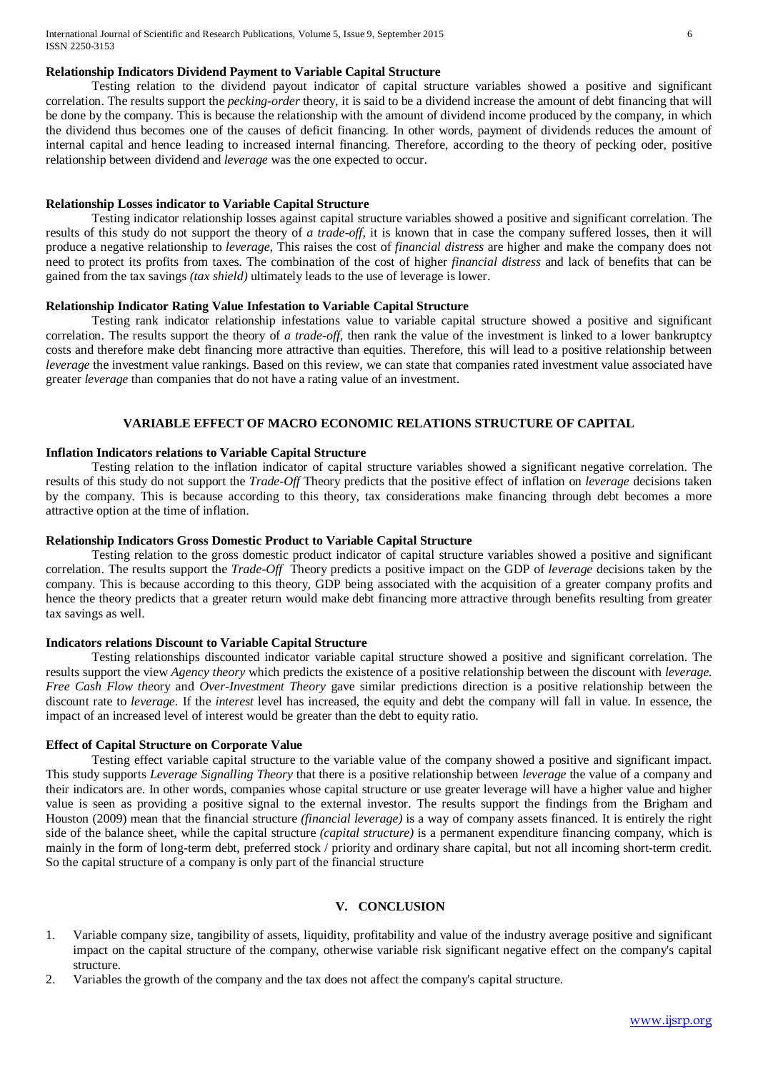## **Relationship Indicators Dividend Payment to Variable Capital Structure**

Testing relation to the dividend payout indicator of capital structure variables showed a positive and significant correlation. The results support the *pecking-order* theory, it is said to be a dividend increase the amount of debt financing that will be done by the company. This is because the relationship with the amount of dividend income produced by the company, in which the dividend thus becomes one of the causes of deficit financing. In other words, payment of dividends reduces the amount of internal capital and hence leading to increased internal financing. Therefore, according to the theory of pecking oder, positive relationship between dividend and *leverage* was the one expected to occur.

## **Relationship Losses indicator to Variable Capital Structure**

Testing indicator relationship losses against capital structure variables showed a positive and significant correlation. The results of this study do not support the theory of *a trade-off,* it is known that in case the company suffered losses, then it will produce a negative relationship to *leverage,* This raises the cost of *financial distress* are higher and make the company does not need to protect its profits from taxes. The combination of the cost of higher *financial distress* and lack of benefits that can be gained from the tax savings *(tax shield)* ultimately leads to the use of leverage is lower.

#### **Relationship Indicator Rating Value Infestation to Variable Capital Structure**

Testing rank indicator relationship infestations value to variable capital structure showed a positive and significant correlation. The results support the theory of *a trade-off,* then rank the value of the investment is linked to a lower bankruptcy costs and therefore make debt financing more attractive than equities. Therefore, this will lead to a positive relationship between *leverage* the investment value rankings. Based on this review, we can state that companies rated investment value associated have greater *leverage* than companies that do not have a rating value of an investment.

## **VARIABLE EFFECT OF MACRO ECONOMIC RELATIONS STRUCTURE OF CAPITAL**

#### **Inflation Indicators relations to Variable Capital Structure**

Testing relation to the inflation indicator of capital structure variables showed a significant negative correlation. The results of this study do not support the *Trade-Off* Theory predicts that the positive effect of inflation on *leverage* decisions taken by the company. This is because according to this theory, tax considerations make financing through debt becomes a more attractive option at the time of inflation.

## **Relationship Indicators Gross Domestic Product to Variable Capital Structure**

Testing relation to the gross domestic product indicator of capital structure variables showed a positive and significant correlation. The results support the *Trade-Off* Theory predicts a positive impact on the GDP of *leverage* decisions taken by the company. This is because according to this theory, GDP being associated with the acquisition of a greater company profits and hence the theory predicts that a greater return would make debt financing more attractive through benefits resulting from greater tax savings as well.

#### **Indicators relations Discount to Variable Capital Structure**

Testing relationships discounted indicator variable capital structure showed a positive and significant correlation. The results support the view *Agency theory* which predicts the existence of a positive relationship between the discount with *leverage. Free Cash Flow the*ory and *Over-Investment Theory* gave similar predictions direction is a positive relationship between the discount rate to *leverage.* If the *interest* level has increased, the equity and debt the company will fall in value. In essence, the impact of an increased level of interest would be greater than the debt to equity ratio.

## **Effect of Capital Structure on Corporate Value**

Testing effect variable capital structure to the variable value of the company showed a positive and significant impact. This study supports *Leverage Signalling Theory* that there is a positive relationship between *leverage* the value of a company and their indicators are. In other words, companies whose capital structure or use greater leverage will have a higher value and higher value is seen as providing a positive signal to the external investor. The results support the findings from the Brigham and Houston (2009) mean that the financial structure *(financial leverage)* is a way of company assets financed. It is entirely the right side of the balance sheet, while the capital structure *(capital structure)* is a permanent expenditure financing company, which is mainly in the form of long-term debt, preferred stock / priority and ordinary share capital, but not all incoming short-term credit. So the capital structure of a company is only part of the financial structure

#### **V. CONCLUSION**

- 1. Variable company size, tangibility of assets, liquidity, profitability and value of the industry average positive and significant impact on the capital structure of the company, otherwise variable risk significant negative effect on the company's capital structure.
- 2. Variables the growth of the company and the tax does not affect the company's capital structure.